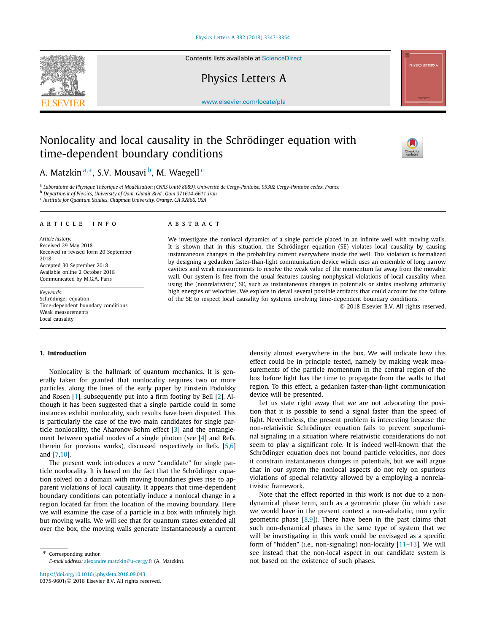Contents lists available at [ScienceDirect](http://www.ScienceDirect.com/)

Physics Letters A



[www.elsevier.com/locate/pla](http://www.elsevier.com/locate/pla)

# Nonlocality and local causality in the Schrödinger equation with time-dependent boundary conditions



# A. Matzkin <sup>a,\*</sup>, S.V. Mousavi <sup>b</sup>, M. Waegell <sup>c</sup>

<sup>a</sup> Laboratoire de Physique Théorique et Modélisation (CNRS Unité 8089), Université de Cergy-Pontoise, 95302 Cergy-Pontoise cedex, France

<sup>b</sup> *Department of Physics, University of Qom, Ghadir Blvd., Qom 371614-6611, Iran* <sup>c</sup> *Institute for Quantum Studies, Chapman University, Orange, CA 92866, USA*

#### A R T I C L E I N F O A B S T R A C T

*Article history:* Received 29 May 2018 Received in revised form 20 September 2018 Accepted 30 September 2018 Available online 2 October 2018 Communicated by M.G.A. Paris

*Keywords:* Schrödinger equation Time-dependent boundary conditions Weak measurements Local causality

We investigate the nonlocal dynamics of a single particle placed in an infinite well with moving walls. It is shown that in this situation, the Schrödinger equation (SE) violates local causality by causing instantaneous changes in the probability current everywhere inside the well. This violation is formalized by designing a gedanken faster-than-light communication device which uses an ensemble of long narrow cavities and weak measurements to resolve the weak value of the momentum far away from the movable wall. Our system is free from the usual features causing nonphysical violations of local causality when using the (nonrelativistic) SE, such as instantaneous changes in potentials or states involving arbitrarily high energies or velocities. We explore in detail several possible artifacts that could account for the failure of the SE to respect local causality for systems involving time-dependent boundary conditions.

© 2018 Elsevier B.V. All rights reserved.

#### **1. Introduction**

Nonlocality is the hallmark of quantum mechanics. It is generally taken for granted that nonlocality requires two or more particles, along the lines of the early paper by Einstein Podolsky and Rosen [\[1\]](#page-7-0), subsequently put into a firm footing by Bell [\[2\]](#page-7-0). Although it has been suggested that a single particle could in some instances exhibit nonlocality, such results have been disputed. This is particularly the case of the two main candidates for single particle nonlocality, the Aharonov-Bohm effect [\[3\]](#page-7-0) and the entanglement between spatial modes of a single photon (see [\[4\]](#page-7-0) and Refs. therein for previous works), discussed respectively in Refs. [\[5,6\]](#page-7-0) and [\[7,10\]](#page-7-0).

The present work introduces a new "candidate" for single particle nonlocality. It is based on the fact that the Schrödinger equation solved on a domain with moving boundaries gives rise to apparent violations of local causality. It appears that time-dependent boundary conditions can potentially induce a nonlocal change in a region located far from the location of the moving boundary. Here we will examine the case of a particle in a box with infinitely high but moving walls. We will see that for quantum states extended all over the box, the moving walls generate instantaneously a current

Corresponding author. *E-mail address:* [alexandre.matzkin@u-cergy.fr](mailto:alexandre.matzkin@u-cergy.fr) (A. Matzkin). density almost everywhere in the box. We will indicate how this effect could be in principle tested, namely by making weak measurements of the particle momentum in the central region of the box before light has the time to propagate from the walls to that region. To this effect, a gedanken faster-than-light communication device will be presented.

Let us state right away that we are not advocating the position that it is possible to send a signal faster than the speed of light. Nevertheless, the present problem is interesting because the non-relativistic Schrödinger equation fails to prevent superluminal signaling in a situation where relativistic considerations do not seem to play a significant role. It is indeed well-known that the Schrödinger equation does not bound particle velocities, nor does it constrain instantaneous changes in potentials, but we will argue that in our system the nonlocal aspects do not rely on spurious violations of special relativity allowed by a employing a nonrelativistic framework.

Note that the effect reported in this work is not due to a nondynamical phase term, such as a geometric phase (in which case we would have in the present context a non-adiabatic, non cyclic geometric phase  $[8,9]$ ). There have been in the past claims that such non-dynamical phases in the same type of system that we will be investigating in this work could be envisaged as a specific form of "hidden" (i.e., non-signaling) non-locality [\[11–13\]](#page-7-0). We will see instead that the non-local aspect in our candidate system is not based on the existence of such phases.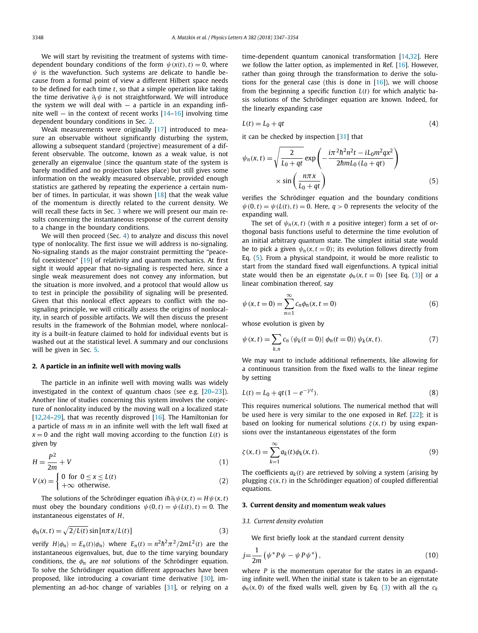<span id="page-1-0"></span>We will start by revisiting the treatment of systems with timedependent boundary conditions of the form  $\psi(x(t), t) = 0$ , where  $\psi$  is the wavefunction. Such systems are delicate to handle because from a formal point of view a different Hilbert space needs to be defined for each time *t*, so that a simple operation like taking the time derivative *∂tψ* is not straightforward. We will introduce the system we will deal with  $-$  a particle in an expanding infinite well – in the context of recent works  $[14-16]$  involving time dependent boundary conditions in Sec. 2.

Weak measurements were originally [\[17\]](#page-7-0) introduced to measure an observable without significantly disturbing the system, allowing a subsequent standard (projective) measurement of a different observable. The outcome, known as a weak value, is not generally an eigenvalue (since the quantum state of the system is barely modified and no projection takes place) but still gives some information on the weakly measured observable, provided enough statistics are gathered by repeating the experience a certain number of times. In particular, it was shown  $\begin{bmatrix} 18 \end{bmatrix}$  that the weak value of the momentum is directly related to the current density. We will recall these facts in Sec. 3 where we will present our main results concerning the instantaneous response of the current density to a change in the boundary conditions.

We will then proceed (Sec. [4\)](#page-3-0) to analyze and discuss this novel type of nonlocality. The first issue we will address is no-signaling. No-signaling stands as the major constraint permitting the "peaceful coexistence" [\[19\]](#page-7-0) of relativity and quantum mechanics. At first sight it would appear that no-signaling is respected here, since a single weak measurement does not convey any information, but the situation is more involved, and a protocol that would allow us to test in principle the possibility of signaling will be presented. Given that this nonlocal effect appears to conflict with the nosignaling principle, we will critically assess the origins of nonlocality, in search of possible artifacts. We will then discuss the present results in the framework of the Bohmian model, where nonlocality is a built-in feature claimed to hold for individual events but is washed out at the statistical level. A summary and our conclusions will be given in Sec. [5.](#page-6-0)

## **2. A particle in an infinite well with moving walls**

The particle in an infinite well with moving walls was widely investigated in the context of quantum chaos (see e.g. [\[20–23\]](#page-7-0)). Another line of studies concerning this system involves the conjecture of nonlocality induced by the moving wall on a localized state [\[12,24–29\]](#page-7-0), that was recently disproved [\[16\]](#page-7-0). The Hamiltonian for a particle of mass *m* in an infinite well with the left wall fixed at  $x = 0$  and the right wall moving according to the function  $L(t)$  is given by

$$
H = \frac{P^2}{2m} + V \tag{1}
$$

$$
V(x) = \begin{cases} 0 \text{ for } 0 \le x \le L(t) \\ +\infty \text{ otherwise.} \end{cases}
$$
 (2)

The solutions of the Schrödinger equation  $i\hbar \partial_t \psi(x, t) = H \psi(x, t)$ must obey the boundary conditions  $\psi(0,t) = \psi(L(t),t) = 0$ . The instantaneous eigenstates of *H*,

$$
\phi_n(x,t) = \sqrt{2/L(t)} \sin\left[n\pi x/L(t)\right] \tag{3}
$$

verify  $H|\phi_n\rangle = E_n(t)|\phi_n\rangle$  where  $E_n(t) = n^2\hbar^2\pi^2/2mL^2(t)$  are the instantaneous eigenvalues, but, due to the time varying boundary conditions, the *φ<sup>n</sup>* are *not* solutions of the Schrödinger equation. To solve the Schrödinger equation different approaches have been proposed, like introducing a covariant time derivative [\[30\]](#page-7-0), implementing an ad-hoc change of variables [\[31\]](#page-7-0), or relying on a time-dependent quantum canonical transformation [\[14,32\]](#page-7-0). Here we follow the latter option, as implemented in Ref. [\[16\]](#page-7-0). However, rather than going through the transformation to derive the solutions for the general case (this is done in  $[16]$ ), we will choose from the beginning a specific function *L(t)* for which analytic basis solutions of the Schrödinger equation are known. Indeed, for the linearly expanding case

$$
L(t) = L_0 + qt \tag{4}
$$

it can be checked by inspection [\[31\]](#page-7-0) that

$$
\psi_n(x,t) = \sqrt{\frac{2}{L_0 + qt}} \exp\left(-\frac{i\pi^2\hbar^2n^2t - iL_0m^2qx^2}{2\hbar mL_0(L_0 + qt)}\right)
$$

$$
\times \sin\left(\frac{n\pi x}{L_0 + qt}\right)
$$
(5)

verifies the Schrödinger equation and the boundary conditions  $\psi(0,t) = \psi(L(t),t) = 0$ . Here,  $q > 0$  represents the velocity of the expanding wall.

The set of  $\psi_n(x, t)$  (with *n* a positive integer) form a set of orthogonal basis functions useful to determine the time evolution of an initial arbitrary quantum state. The simplest initial state would be to pick a given  $\psi_n(x, t = 0)$ ; its evolution follows directly from Eq. (5). From a physical standpoint, it would be more realistic to start from the standard fixed wall eigenfunctions. A typical initial state would then be an eigenstate  $\phi_n(x, t = 0)$  [see Eq. (3)] or a linear combination thereof, say

$$
\psi(x, t = 0) = \sum_{n=1}^{\infty} c_n \phi_n(x, t = 0)
$$
\n(6)

whose evolution is given by

$$
\psi(x,t) = \sum_{k,n} c_n \langle \psi_k(t=0) | \phi_n(t=0) \rangle \psi_k(x,t). \tag{7}
$$

We may want to include additional refinements, like allowing for a continuous transition from the fixed walls to the linear regime by setting

$$
L(t) = L_0 + qt(1 - e^{-\gamma t}).
$$
\n(8)

This requires numerical solutions. The numerical method that will be used here is very similar to the one exposed in Ref. [\[22\]](#page-7-0); it is based on looking for numerical solutions  $\zeta(x, t)$  by using expansions over the instantaneous eigenstates of the form

$$
\zeta(x,t) = \sum_{k=1}^{\infty} a_k(t)\phi_k(x,t).
$$
 (9)

The coefficients  $a_k(t)$  are retrieved by solving a system (arising by plugging *ζ (x,t)* in the Schrödinger equation) of coupled differential equations.

#### **3. Current density and momentum weak values**

#### *3.1. Current density evolution*

We first briefly look at the standard current density

$$
j = \frac{1}{2m} \left( \psi^* P \psi - \psi P \psi^* \right),\tag{10}
$$

where *P* is the momentum operator for the states in an expanding infinite well. When the initial state is taken to be an eigenstate  $\phi_n(x, 0)$  of the fixed walls well, given by Eq. (3) with all the  $c_k$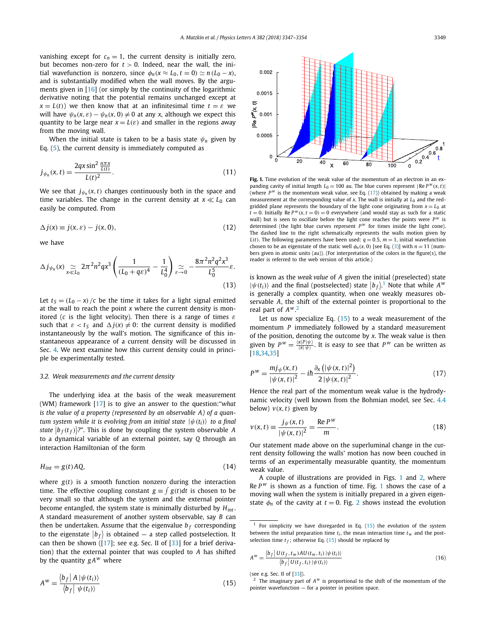<span id="page-2-0"></span>vanishing except for  $c_n = 1$ , the current density is initially zero, but becomes non-zero for  $t > 0$ . Indeed, near the wall, the initial wavefunction is nonzero, since  $\phi_n(x \approx L_0, t = 0) \simeq n (L_0 - x)$ , and is substantially modified when the wall moves. By the arguments given in [\[16\]](#page-7-0) (or simply by the continuity of the logarithmic derivative noting that the potential remains unchanged except at  $x = L(t)$  we then know that at an infinitesimal time  $t = \varepsilon$  we will have  $\psi_n(x, \varepsilon) - \psi_n(x, 0) \neq 0$  at any *x*, although we expect this quantity to be large near  $x = L(\varepsilon)$  and smaller in the regions away from the moving wall.

When the initial state is taken to be a basis state  $\psi_n$  given by Eq. [\(5\)](#page-1-0), the current density is immediately computed as

$$
j_{\psi_n}(x,t) = \frac{2qx \sin^2 \frac{n\pi x}{L(t)}}{L(t)^2}.
$$
\n(11)

We see that  $j_{\psi_n}(x, t)$  changes continuously both in the space and time variables. The change in the current density at  $x \ll L_0$  can easily be computed. From

$$
\Delta j(x) \equiv j(x, \varepsilon) - j(x, 0),\tag{12}
$$

we have

$$
\Delta j_{\psi_n}(x) \underset{x \ll L_0}{\simeq} 2\pi^2 n^2 q x^3 \left( \frac{1}{(L_0 + q\varepsilon)^4} - \frac{1}{L_0^4} \right) \underset{\varepsilon \to 0}{\simeq} - \frac{8\pi^2 n^2 q^2 x^3}{L_0^5} \varepsilon.
$$
\n(13)

Let  $t_s = (L_0 - x)/c$  be the time it takes for a light signal emitted at the wall to reach the point *x* where the current density is monitored (*c* is the light velocity). Then there is a range of times *ε* such that  $\varepsilon < t_s$  and  $\Delta j(x) \neq 0$ : the current density is modified instantaneously by the wall's motion. The significance of this instantaneous appearance of a current density will be discussed in Sec. [4.](#page-3-0) We next examine how this current density could in principle be experimentally tested.

#### *3.2. Weak measurements and the current density*

The underlying idea at the basis of the weak measurement (WM) framework [\[17\]](#page-7-0) is to give an answer to the question:"*what is the value of a property (represented by an observable A) of a quantum system while it is evolving from an initial state*  $|\psi(t_i)\rangle$  *to a final state*  $\left|b_f(t_f)\right\rangle$ ?". This is done by coupling the system observable *A* to a dynamical variable of an external pointer, say *Q* through an interaction Hamiltonian of the form

$$
H_{int} = g(t)AQ,
$$
\n(14)

where *g(t)* is a smooth function nonzero during the interaction time. The effective coupling constant  $g \equiv \int g(t) dt$  is chosen to be very small so that although the system and the external pointer become entangled, the system state is minimally disturbed by *Hint* . A standard measurement of another system observable, say *B* can then be undertaken. Assume that the eigenvalue  $b_f$  corresponding to the eigenstate  $|b_f\rangle$  is obtained – a step called postselection. It can then be shown ( $[17]$ ; see e.g. Sec. II of  $[33]$  for a brief derivation) that the external pointer that was coupled to *A* has shifted by the quantity  $gA<sup>w</sup>$  where

$$
A^{w} = \frac{\langle b_f | A | \psi(t_i) \rangle}{\langle b_f | \psi(t_i) \rangle} \tag{15}
$$



**Fig. 1.** Time evolution of the weak value of the momentum of an electron in an expanding cavity of initial length  $L_0 = 100$  au. The blue curves represent  $|Re P^w(x, t)|$ (where  $P^w$  is the momentum weak value, see Eq. (17)) obtained by making a weak measurement at the corresponding value of *x*. The wall is initially at *L*<sup>0</sup> and the redgridded plane represents the boundary of the light cone originating from  $x = L_0$  at  $t = 0$ . Initially Re  $P^w(x, t = 0) = 0$  everywhere (and would stay as such for a static wall) but is seen to oscillate before the light cone reaches the points were  $P^w$  is determined (the light blue curves represent  $P^w$  for times inside the light cone). The dashed line to the right schematically represents the walls motion given by *L*(*t*). The following parameters have been used:  $q = 0.5$ ,  $m = 1$ , initial wavefunction chosen to be an eigenstate of the static well  $\phi_n(x, 0)$  [see Eq. [\(3\)](#page-1-0)] with  $n = 11$  (numbers given in atomic units (au)). (For interpretation of the colors in the figure(s), the reader is referred to the web version of this article.)

is known as the *weak value* of *A* given the initial (preselected) state  $|\psi(t_i)\rangle$  and the final (postselected) state  $|b_f\rangle$ <sup>1</sup>. Note that while  $A^w$ is generally a complex quantity, when one weakly measures observable *A*, the shift of the external pointer is proportional to the real part of  $A<sup>w</sup>$ .<sup>2</sup>

Let us now specialize Eq.  $(15)$  to a weak measurement of the momentum *P* immediately followed by a standard measurement of the position, denoting the outcome by *x*. The weak value is then given by  $P^w = \frac{\langle x | P | \psi \rangle}{\langle x | \psi \rangle}$ . It is easy to see that  $P^w$  can be written as [\[18,34,35\]](#page-7-0)

$$
P^{w} = \frac{m j_{\psi}(x, t)}{|\psi(x, t)|^{2}} - i \hbar \frac{\partial_{x} (|\psi(x, t)|^{2})}{2 |\psi(x, t)|^{2}}.
$$
 (17)

Hence the real part of the momentum weak value is the hydrodynamic velocity (well known from the Bohmian model, see Sec. [4.4](#page-6-0) below)  $v(x, t)$  given by

$$
v(x,t) = \frac{j_{\psi}(x,t)}{|\psi(x,t)|^2} = \frac{\text{Re } P^w}{m}.
$$
 (18)

Our statement made above on the superluminal change in the current density following the walls' motion has now been couched in terms of an experimentally measurable quantity, the momentum weak value.

A couple of illustrations are provided in Figs. 1 and [2,](#page-3-0) where Re  $P^w$  is shown as a function of time. Fig. 1 shows the case of a moving wall when the system is initially prepared in a given eigenstate  $\phi_n$  of the cavity at  $t = 0$ . Fig. [2](#page-3-0) shows instead the evolution

$$
A^{w} = \frac{\langle b_f | U(t_f, t_w) A U(t_w, t_i) | \psi(t_i) \rangle}{\langle b_f | U(t_f, t_i) | \psi(t_i) \rangle} \tag{16}
$$

(see e.g. Sec. II of [\[33\]](#page-7-0)).

 $1$  For simplicity we have disregarded in Eq. (15) the evolution of the system between the initial preparation time  $t_i$ , the mean interaction time  $t_w$  and the postselection time  $t_f$ ; otherwise Eq. (15) should be replaced by

<sup>&</sup>lt;sup>2</sup> The imaginary part of  $A<sup>w</sup>$  is proportional to the shift of the momentum of the pointer wavefunction — for a pointer in position space.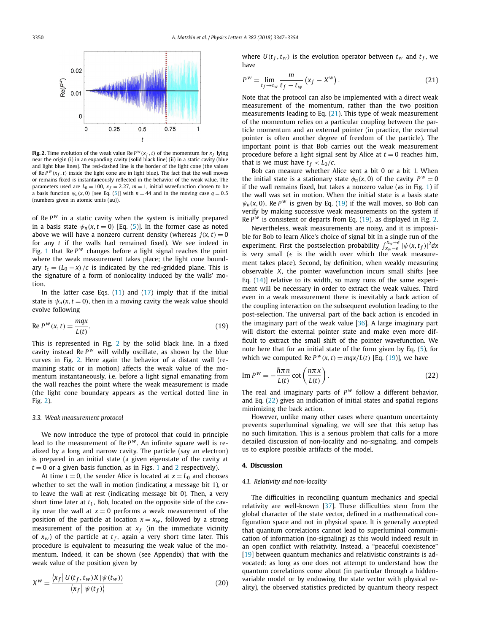<span id="page-3-0"></span>

**Fig. 2.** Time evolution of the weak value Re  $P^{w}(x_f, t)$  of the momentum for  $x_f$  lying near the origin (i) in an expanding cavity (solid black line) (ii) in a static cavity (blue and light blue lines). The red-dashed line is the border of the light cone (the values of Re  $P^w(x_f, t)$  inside the light cone are in light blue). The fact that the wall moves or remains fixed is instantaneously reflected in the behavior of the weak value. The parameters used are  $L_0 = 100$ ,  $x_f = 2.27$ ,  $m = 1$ , initial wavefunction chosen to be a basis function  $\psi_n(x, 0)$  [see Eq. [\(5\)](#page-1-0)] with  $n = 44$  and in the moving case  $q = 0.5$ (numbers given in atomic units (au)).

of Re  $P^w$  in a static cavity when the system is initially prepared in a basis state  $\psi_n(x, t = 0)$  [Eq. [\(5\)](#page-1-0)]. In the former case as noted above we will have a nonzero current density (whereas  $j(x, t) = 0$ for any *t* if the walls had remained fixed). We see indeed in Fig. [1](#page-2-0) that  $\text{Re } P^w$  changes before a light signal reaches the point where the weak measurement takes place; the light cone boundary  $t_c = (L_0 - x) / c$  is indicated by the red-gridded plane. This is the signature of a form of nonlocality induced by the walls' motion.

In the latter case Eqs.  $(11)$  and  $(17)$  imply that if the initial state is  $\psi_n(x, t = 0)$ , then in a moving cavity the weak value should evolve following

$$
\operatorname{Re} P^W(x,t) = \frac{mqx}{L(t)}.\tag{19}
$$

This is represented in Fig. 2 by the solid black line. In a fixed cavity instead Re  $P^w$  will wildly oscillate, as shown by the blue curves in Fig. 2. Here again the behavior of a distant wall (remaining static or in motion) affects the weak value of the momentum instantaneously, i.e. before a light signal emanating from the wall reaches the point where the weak measurement is made (the light cone boundary appears as the vertical dotted line in Fig. 2).

#### *3.3. Weak measurement protocol*

We now introduce the type of protocol that could in principle lead to the measurement of Re  $P<sup>w</sup>$ . An infinite square well is realized by a long and narrow cavity. The particle (say an electron) is prepared in an initial state (a given eigenstate of the cavity at  $t = 0$  or a given basis function, as in Figs. [1](#page-2-0) and 2 respectively).

At time  $t = 0$ , the sender Alice is located at  $x = L_0$  and chooses whether to set the wall in motion (indicating a message bit 1), or to leave the wall at rest (indicating message bit 0). Then, a very short time later at  $t_1$ , Bob, located on the opposite side of the cavity near the wall at  $x = 0$  performs a weak measurement of the position of the particle at location  $x = x_w$ , followed by a strong measurement of the position at  $x_f$  (in the immediate vicinity of  $x_w$ ) of the particle at  $t_f$ , again a very short time later. This procedure is equivalent to measuring the weak value of the momentum. Indeed, it can be shown (see Appendix) that with the weak value of the position given by

$$
X^{w} = \frac{\langle x_f | U(t_f, t_w) X | \psi(t_w) \rangle}{\langle x_f | \psi(t_f) \rangle}
$$
(20)

where  $U(t_f, t_w)$  is the evolution operator between  $t_w$  and  $t_f$ , we have

$$
P^{w} = \lim_{t_f \to t_w} \frac{m}{t_f - t_w} \left( x_f - X^{w} \right). \tag{21}
$$

Note that the protocol can also be implemented with a direct weak measurement of the momentum, rather than the two position measurements leading to Eq. (21). This type of weak measurement of the momentum relies on a particular coupling between the particle momentum and an external pointer (in practice, the external pointer is often another degree of freedom of the particle). The important point is that Bob carries out the weak measurement procedure before a light signal sent by Alice at  $t = 0$  reaches him, that is we must have  $t_f < L_0/c$ .

Bob can measure whether Alice sent a bit 0 or a bit 1. When the initial state is a stationary state  $\phi_n(x, 0)$  of the cavity  $P^w = 0$ if the wall remains fixed, but takes a nonzero value (as in Fig. [1\)](#page-2-0) if the wall was set in motion. When the initial state is a basis state  $\psi_n(x, 0)$ , Re  $P^w$  is given by Eq. (19) if the wall moves, so Bob can verify by making successive weak measurements on the system if Re  $P^w$  is consistent or departs from Eq. (19), as displayed in Fig. 2.

Nevertheless, weak measurements are noisy, and it is impossible for Bob to learn Alice's choice of signal bit in a single run of the experiment. First the postselection probability  $\int_{x_w - \epsilon}^{x_w + \epsilon} |\psi(x, t_f)|^2 dx$ is very small ( $\epsilon$  is the width over which the weak measurement takes place). Second, by definition, when weakly measuring observable *X*, the pointer wavefunction incurs small shifts [see Eq.  $(14)$ ] relative to its width, so many runs of the same experiment will be necessary in order to extract the weak values. Third even in a weak measurement there is inevitably a back action of the coupling interaction on the subsequent evolution leading to the post-selection. The universal part of the back action is encoded in the imaginary part of the weak value [\[36\]](#page-7-0). A large imaginary part will distort the external pointer state and make even more difficult to extract the small shift of the pointer wavefunction. We note here that for an initial state of the form given by Eq. [\(5\)](#page-1-0), for which we computed Re  $P^w(x, t) = \frac{mqx}{L(t)}$  [Eq. (19)], we have

$$
\operatorname{Im} P^w = -\frac{\hbar \pi n}{L(t)} \cot \left( \frac{n \pi x}{L(t)} \right). \tag{22}
$$

The real and imaginary parts of  $P^w$  follow a different behavior, and Eq. (22) gives an indication of initial states and spatial regions minimizing the back action.

However, unlike many other cases where quantum uncertainty prevents superluminal signaling, we will see that this setup has no such limitation. This is a serious problem that calls for a more detailed discussion of non-locality and no-signaling, and compels us to explore possible artifacts of the model.

#### **4. Discussion**

#### *4.1. Relativity and non-locality*

The difficulties in reconciling quantum mechanics and special relativity are well-known [\[37\]](#page-7-0). These difficulties stem from the global character of the state vector, defined in a mathematical configuration space and not in physical space. It is generally accepted that quantum correlations cannot lead to superluminal communication of information (no-signaling) as this would indeed result in an open conflict with relativity. Instead, a "peaceful coexistence" [\[19\]](#page-7-0) between quantum mechanics and relativistic constraints is advocated: as long as one does not attempt to understand how the quantum correlations come about (in particular through a hiddenvariable model or by endowing the state vector with physical reality), the observed statistics predicted by quantum theory respect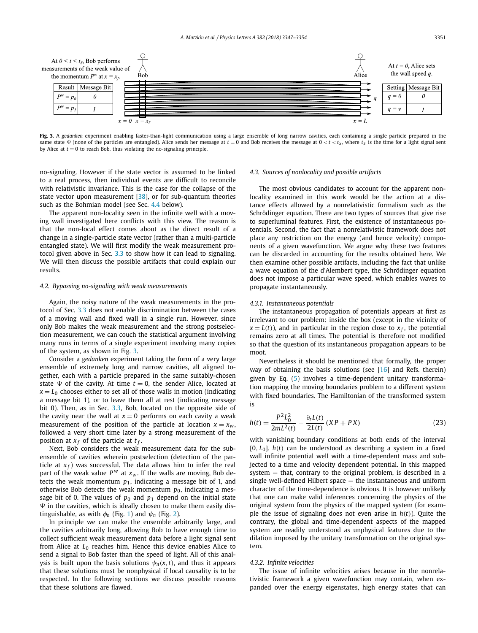

**Fig. 3.** A *gedanken* experiment enabling faster-than-light communication using a large ensemble of long narrow cavities, each containing a single particle prepared in the same state  $\Psi$  (none of the particles are entangled). Alice sends her message at  $t = 0$  and Bob receives the message at  $0 < t < t<sub>S</sub>$ , where  $t<sub>S</sub>$  is the time for a light signal sent by Alice at  $t = 0$  to reach Bob, thus violating the no-signaling principle.

no-signaling. However if the state vector is assumed to be linked to a real process, then individual events are difficult to reconcile with relativistic invariance. This is the case for the collapse of the state vector upon measurement  $[38]$ , or for sub-quantum theories such as the Bohmian model (see Sec. [4.4](#page-6-0) below).

The apparent non-locality seen in the infinite well with a moving wall investigated here conflicts with this view. The reason is that the non-local effect comes about as the direct result of a change in a single-particle state vector (rather than a multi-particle entangled state). We will first modify the weak measurement protocol given above in Sec. [3.3](#page-3-0) to show how it can lead to signaling. We will then discuss the possible artifacts that could explain our results.

#### *4.2. Bypassing no-signaling with weak measurements*

Again, the noisy nature of the weak measurements in the protocol of Sec. [3.3](#page-3-0) does not enable discrimination between the cases of a moving wall and fixed wall in a single run. However, since only Bob makes the weak measurement and the strong postselection measurement, we can couch the statistical argument involving many runs in terms of a single experiment involving many copies of the system, as shown in Fig. 3.

Consider a *gedanken* experiment taking the form of a very large ensemble of extremely long and narrow cavities, all aligned together, each with a particle prepared in the same suitably-chosen state  $\Psi$  of the cavity. At time  $t = 0$ , the sender Alice, located at  $x = L_0$  chooses either to set all of those walls in motion (indicating a message bit 1), or to leave them all at rest (indicating message bit 0). Then, as in Sec. [3.3,](#page-3-0) Bob, located on the opposite side of the cavity near the wall at  $x = 0$  performs on each cavity a weak measurement of the position of the particle at location  $x = x_w$ , followed a very short time later by a strong measurement of the position at  $x_f$  of the particle at  $t_f$ .

Next, Bob considers the weak measurement data for the subensemble of cavities wherein postselection (detection of the particle at  $x_f$ ) was successful. The data allows him to infer the real part of the weak value  $P^w$  at  $x_w$ . If the walls are moving, Bob detects the weak momentum  $p_1$ , indicating a message bit of 1, and otherwise Bob detects the weak momentum  $p_0$ , indicating a message bit of 0. The values of  $p_0$  and  $p_1$  depend on the initial state  $\Psi$  in the cavities, which is ideally chosen to make them easily distinguishable, as with  $\phi_n$  (Fig. [1\)](#page-2-0) and  $\psi_n$  (Fig. [2\)](#page-3-0).

In principle we can make the ensemble arbitrarily large, and the cavities arbitrarily long, allowing Bob to have enough time to collect sufficient weak measurement data before a light signal sent from Alice at *L*<sup>0</sup> reaches him. Hence this device enables Alice to send a signal to Bob faster than the speed of light. All of this analysis is built upon the basis solutions  $\psi_n(x, t)$ , and thus it appears that these solutions must be nonphysical if local causality is to be respected. In the following sections we discuss possible reasons that these solutions are flawed.

## *4.3. Sources of nonlocality and possible artifacts*

The most obvious candidates to account for the apparent nonlocality examined in this work would be the action at a distance effects allowed by a nonrelativistic formalism such as the Schrödinger equation. There are two types of sources that give rise to superluminal features. First, the existence of instantaneous potentials. Second, the fact that a nonrelativistic framework does not place any restriction on the energy (and hence velocity) components of a given wavefunction. We argue why these two features can be discarded in accounting for the results obtained here. We then examine other possible artifacts, including the fact that unlike a wave equation of the d'Alembert type, the Schrödinger equation does not impose a particular wave speed, which enables waves to propagate instantaneously.

#### *4.3.1. Instantaneous potentials*

The instantaneous propagation of potentials appears at first as irrelevant to our problem: inside the box (except in the vicinity of  $x = L(t)$ , and in particular in the region close to  $x_f$ , the potential remains zero at all times. The potential is therefore not modified so that the question of its instantaneous propagation appears to be moot.

Nevertheless it should be mentioned that formally, the proper way of obtaining the basis solutions (see  $[16]$  and Refs. therein) given by Eq. [\(5\)](#page-1-0) involves a time-dependent unitary transformation mapping the moving boundaries problem to a different system with fixed boundaries. The Hamiltonian of the transformed system is

$$
h(t) = \frac{P^2 L_0^2}{2mL^2(t)} - \frac{\partial_t L(t)}{2L(t)} (XP + PX)
$$
\n(23)

with vanishing boundary conditions at both ends of the interval  $[0, L_0]$ .  $h(t)$  can be understood as describing a system in a fixed wall infinite potential well with a time-dependent mass and subjected to a time and velocity dependent potential. In this mapped system — that, contrary to the original problem, is described in a single well-defined Hilbert space — the instantaneous and uniform character of the time-dependence is obvious. It is however unlikely that one can make valid inferences concerning the physics of the original system from the physics of the mapped system (for example the issue of signaling does not even arise in *h(t)*). Quite the contrary, the global and time-dependent aspects of the mapped system are readily understood as unphysical features due to the dilation imposed by the unitary transformation on the original system.

#### *4.3.2. Infinite velocities*

The issue of infinite velocities arises because in the nonrelativistic framework a given wavefunction may contain, when expanded over the energy eigenstates, high energy states that can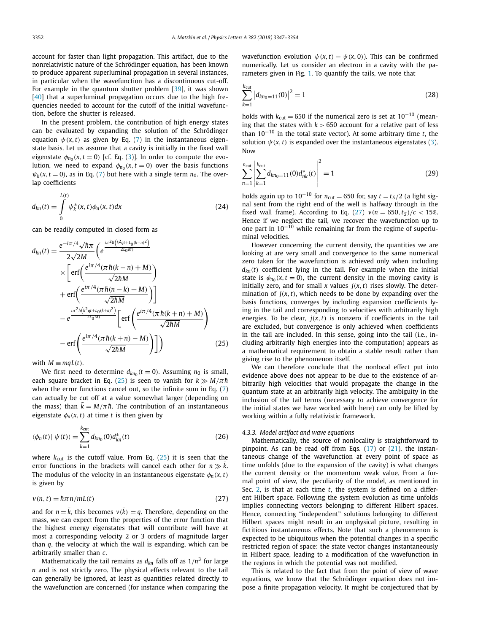<span id="page-5-0"></span>account for faster than light propagation. This artifact, due to the nonrelativistic nature of the Schrödinger equation, has been known to produce apparent superluminal propagation in several instances, in particular when the wavefunction has a discontinuous cut-off. For example in the quantum shutter problem [\[39\]](#page-7-0), it was shown  $[40]$  that a superluminal propagation occurs due to the high frequencies needed to account for the cutoff of the initial wavefunction, before the shutter is released.

In the present problem, the contribution of high energy states can be evaluated by expanding the solution of the Schrödinger equation  $\psi(x, t)$  as given by Eq. [\(7\)](#page-1-0) in the instantaneous eigenstate basis. Let us assume that a cavity is initially in the fixed wall eigenstate  $\phi_{n_0}(x, t = 0)$  [cf. Eq. [\(3\)](#page-1-0)]. In order to compute the evolution, we need to expand  $\phi_{n_0}(x, t = 0)$  over the basis functions  $\psi_k(x, t = 0)$ , as in Eq. [\(7\)](#page-1-0) but here with a single term  $n_0$ . The overlap coefficients

$$
d_{kn}(t) = \int\limits_0^{L(t)} \psi_k^*(x, t)\phi_n(x, t)dx
$$
\n(24)

can be readily computed in closed form as

$$
d_{kn}(t) = \frac{e^{-i\pi/4}\sqrt{\hbar\pi}}{2\sqrt{2M}} \left( e^{\frac{i\pi^2\hbar (k^2q + t_0(k-n)^2)}{2t_0M}} \times \left[ erf\left(\frac{e^{i\pi/4}(\pi\hbar(k-n) + M)}{\sqrt{2\hbar M}}\right) \right) + erf\left(\frac{e^{i\pi/4}(\pi\hbar(n-k) + M)}{\sqrt{2\hbar M}}\right) \right] - e^{\frac{i\pi^2\hbar (k^2q + t_0(k+n)^2)}{2t_0M}} \left[ erf\left(\frac{e^{i\pi/4}(\pi\hbar(k+n) + M)}{\sqrt{2\hbar M}}\right) - erf\left(\frac{e^{i\pi/4}(\pi\hbar(k+n) - M)}{\sqrt{2\hbar M}}\right) \right]
$$
(25)

with  $M \equiv mqL(t)$ .

We first need to determine  $d_{kn_0}$  ( $t = 0$ ). Assuming  $n_0$  is small, each square bracket in Eq. (25) is seen to vanish for  $k \gg M/\pi \hbar$ when the error functions cancel out, so the infinite sum in Eq. [\(7\)](#page-1-0) can actually be cut off at a value somewhat larger (depending on the mass) than  $\bar{k} = M/\pi \hbar$ . The contribution of an instantaneous eigenstate  $\phi_n(x, t)$  at time *t* is then given by

$$
\langle \phi_n(t) | \psi(t) \rangle = \sum_{k=1}^{k_{\text{cut}}} d_{kn_0}(0) d_{kn}^*(t) \tag{26}
$$

where *k*cut is the cutoff value. From Eq. (25) it is seen that the error functions in the brackets will cancel each other for  $n \gg k$ . The modulus of the velocity in an instantaneous eigenstate  $\phi_n(x, t)$ is given by

$$
v(n,t) = \hbar \pi n / mL(t)
$$
\n(27)

and for  $n = k$ , this becomes  $v(k) = q$ . Therefore, depending on the mass, we can expect from the properties of the error function that the highest energy eigenstates that will contribute will have at most a corresponding velocity 2 or 3 orders of magnitude larger than *q*, the velocity at which the wall is expanding, which can be arbitrarily smaller than *c*.

Mathematically the tail remains as  $d_{kn}$  falls off as  $1/n^3$  for large *n* and is not strictly zero. The physical effects relevant to the tail can generally be ignored, at least as quantities related directly to the wavefunction are concerned (for instance when comparing the wavefunction evolution  $\psi(x, t) - \psi(x, 0)$ ). This can be confirmed numerically. Let us consider an electron in a cavity with the parameters given in Fig. [1.](#page-2-0) To quantify the tails, we note that

$$
\sum_{k=1}^{k_{\text{cut}}} |d_{kn_0=11}(0)|^2 = 1\tag{28}
$$

holds with  $k_{\text{cut}} = 650$  if the numerical zero is set at  $10^{-10}$  (meaning that the states with  $k > 650$  account for a relative part of less than 10−<sup>10</sup> in the total state vector). At some arbitrary time *t*, the solution  $\psi(x, t)$  is expanded over the instantaneous eigenstates [\(3\)](#page-1-0). Now

$$
\sum_{n=1}^{n_{\text{cut}}} \left| \sum_{k=1}^{k_{\text{cut}}} d_{kn_0=11}(0) d_{nk}^*(t) \right|^2 = 1 \tag{29}
$$

holds again up to  $10^{-10}$  for  $n_{\text{cut}} = 650$  for, say  $t = t_s/2$  (a light signal sent from the right end of the well is halfway through in the fixed wall frame). According to Eq.  $(27)$   $v(n = 650, t<sub>S</sub>)/c < 15%$ . Hence if we neglect the tail, we recover the wavefunction up to one part in  $10^{-10}$  while remaining far from the regime of superluminal velocities.

However concerning the current density, the quantities we are looking at are very small and convergence to the same numerical zero taken for the wavefunction is achieved only when including  $d_{kn}(t)$  coefficient lying in the tail. For example when the initial state is  $\phi_{n_0}(x, t = 0)$ , the current density in the moving cavity is initially zero, and for small *x* values  $j(x, t)$  rises slowly. The determination of  $j(x, t)$ , which needs to be done by expanding over the basis functions, converges by including expansion coefficients lying in the tail and corresponding to velocities with arbitrarily high energies. To be clear,  $j(x, t)$  is nonzero if coefficients in the tail are excluded, but convergence is only achieved when coefficients in the tail are included. In this sense, going into the tail (i.e., including arbitrarily high energies into the computation) appears as a mathematical requirement to obtain a stable result rather than giving rise to the phenomenon itself.

We can therefore conclude that the nonlocal effect put into evidence above does not appear to be due to the existence of arbitrarily high velocities that would propagate the change in the quantum state at an arbitrarily high velocity. The ambiguity in the inclusion of the tail terms (necessary to achieve convergence for the initial states we have worked with here) can only be lifted by working within a fully relativistic framework.

#### *4.3.3. Model artifact and wave equations*

Mathematically, the source of nonlocality is straightforward to pinpoint. As can be read off from Eqs.  $(17)$  or  $(21)$ , the instantaneous change of the wavefunction at every point of space as time unfolds (due to the expansion of the cavity) is what changes the current density or the momentum weak value. From a formal point of view, the peculiarity of the model, as mentioned in Sec. [2,](#page-1-0) is that at each time *t*, the system is defined on a different Hilbert space. Following the system evolution as time unfolds implies connecting vectors belonging to different Hilbert spaces. Hence, connecting "independent" solutions belonging to different Hilbert spaces might result in an unphysical picture, resulting in fictitious instantaneous effects. Note that such a phenomenon is expected to be ubiquitous when the potential changes in a specific restricted region of space: the state vector changes instantaneously in Hilbert space, leading to a modification of the wavefunction in the regions in which the potential was not modified.

This is related to the fact that from the point of view of wave equations, we know that the Schrödinger equation does not impose a finite propagation velocity. It might be conjectured that by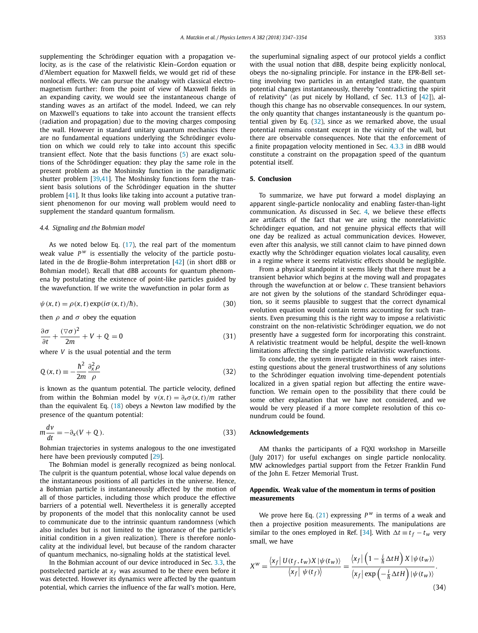<span id="page-6-0"></span>supplementing the Schrödinger equation with a propagation velocity, as is the case of the relativistic Klein–Gordon equation or d'Alembert equation for Maxwell fields, we would get rid of these nonlocal effects. We can pursue the analogy with classical electromagnetism further: from the point of view of Maxwell fields in an expanding cavity, we would see the instantaneous change of standing waves as an artifact of the model. Indeed, we can rely on Maxwell's equations to take into account the transient effects (radiation and propagation) due to the moving charges composing the wall. However in standard unitary quantum mechanics there are no fundamental equations underlying the Schrödinger evolution on which we could rely to take into account this specific transient effect. Note that the basis functions [\(5\)](#page-1-0) are exact solutions of the Schrödinger equation: they play the same role in the present problem as the Moshinsky function in the paradigmatic shutter problem [\[39,41\]](#page-7-0). The Moshinsky functions form the transient basis solutions of the Schrödinger equation in the shutter problem [\[41\]](#page-7-0). It thus looks like taking into account a putative transient phenomenon for our moving wall problem would need to supplement the standard quantum formalism.

# *4.4. Signaling and the Bohmian model*

As we noted below Eq. [\(17\)](#page-2-0), the real part of the momentum weak value  $P<sup>w</sup>$  is essentially the velocity of the particle postulated in the de Broglie-Bohm interpretation [\[42\]](#page-7-0) (in short dBB or Bohmian model). Recall that dBB accounts for quantum phenomena by postulating the existence of point-like particles guided by the wavefunction. If we write the wavefunction in polar form as

$$
\psi(x,t) = \rho(x,t) \exp(i\sigma(x,t)/\hbar), \tag{30}
$$

then  $\rho$  and  $\sigma$  obey the equation

$$
\frac{\partial \sigma}{\partial t} + \frac{(\nabla \sigma)^2}{2m} + V + Q = 0 \tag{31}
$$

where *V* is the usual potential and the term

$$
Q(x,t) \equiv -\frac{\hbar^2}{2m} \frac{\partial_x^2 \rho}{\rho}
$$
\n(32)

is known as the quantum potential. The particle velocity, defined from within the Bohmian model by  $v(x, t) = \partial_x \sigma(x, t) / m$  rather than the equivalent Eq. [\(18\)](#page-2-0) obeys a Newton law modified by the presence of the quantum potential:

$$
m\frac{dv}{dt} = -\partial_X(V + Q). \tag{33}
$$

Bohmian trajectories in systems analogous to the one investigated here have been previously computed [\[29\]](#page-7-0).

The Bohmian model is generally recognized as being nonlocal. The culprit is the quantum potential, whose local value depends on the instantaneous positions of all particles in the universe. Hence, a Bohmian particle is instantaneously affected by the motion of all of those particles, including those which produce the effective barriers of a potential well. Nevertheless it is generally accepted by proponents of the model that this nonlocality cannot be used to communicate due to the intrinsic quantum randomness (which also includes but is not limited to the ignorance of the particle's initial condition in a given realization). There is therefore nonlocality at the individual level, but because of the random character of quantum mechanics, no-signaling holds at the statistical level.

In the Bohmian account of our device introduced in Sec. [3.3,](#page-3-0) the postselected particle at  $x_f$  was assumed to be there even before it was detected. However its dynamics were affected by the quantum potential, which carries the influence of the far wall's motion. Here, the superluminal signaling aspect of our protocol yields a conflict with the usual notion that dBB, despite being explicitly nonlocal, obeys the no-signaling principle. For instance in the EPR-Bell setting involving two particles in an entangled state, the quantum potential changes instantaneously, thereby "contradicting the spirit of relativity" (as put nicely by Holland, cf Sec. 11.3 of  $[42]$ ), although this change has no observable consequences. In our system, the only quantity that changes instantaneously is the quantum potential given by Eq.  $(32)$ , since as we remarked above, the usual potential remains constant except in the vicinity of the wall, but there are observable consequences. Note that the enforcement of a finite propagation velocity mentioned in Sec. [4.3.3](#page-5-0) in dBB would constitute a constraint on the propagation speed of the quantum potential itself.

### **5. Conclusion**

To summarize, we have put forward a model displaying an apparent single-particle nonlocality and enabling faster-than-light communication. As discussed in Sec. [4,](#page-3-0) we believe these effects are artifacts of the fact that we are using the nonrelativistic Schrödinger equation, and not genuine physical effects that will one day be realized as actual communication devices. However, even after this analysis, we still cannot claim to have pinned down exactly why the Schrödinger equation violates local causality, even in a regime where it seems relativistic effects should be negligible.

From a physical standpoint it seems likely that there must be a transient behavior which begins at the moving wall and propagates through the wavefunction at or below *c*. These transient behaviors are not given by the solutions of the standard Schrödinger equation, so it seems plausible to suggest that the correct dynamical evolution equation would contain terms accounting for such transients. Even presuming this is the right way to impose a relativistic constraint on the non-relativistic Schrödinger equation, we do not presently have a suggested form for incorporating this constraint. A relativistic treatment would be helpful, despite the well-known limitations affecting the single particle relativistic wavefunctions.

To conclude, the system investigated in this work raises interesting questions about the general trustworthiness of any solutions to the Schrödinger equation involving time-dependent potentials localized in a given spatial region but affecting the entire wavefunction. We remain open to the possibility that there could be some other explanation that we have not considered, and we would be very pleased if a more complete resolution of this conundrum could be found.

# **Acknowledgements**

AM thanks the participants of a FQXI workshop in Marseille (July 2017) for useful exchanges on single particle nonlocality. MW acknowledges partial support from the Fetzer Franklin Fund of the John E. Fetzer Memorial Trust.

# **Appendix. Weak value of the momentum in terms of position measurements**

We prove here Eq. [\(21\)](#page-3-0) expressing  $P<sup>w</sup>$  in terms of a weak and then a projective position measurements. The manipulations are similar to the ones employed in Ref. [\[34\]](#page-7-0). With  $\Delta t \equiv t_f - t_w$  very small, we have

$$
X^{w} = \frac{\langle x_{f} | U(t_{f}, t_{w}) X | \psi(t_{w}) \rangle}{\langle x_{f} | \psi(t_{f}) \rangle} = \frac{\langle x_{f} | \left( 1 - \frac{i}{\hbar} \Delta t H \right) X | \psi(t_{w}) \rangle}{\langle x_{f} | \exp \left( -\frac{i}{\hbar} \Delta t H \right) | \psi(t_{w}) \rangle}.
$$
\n(34)